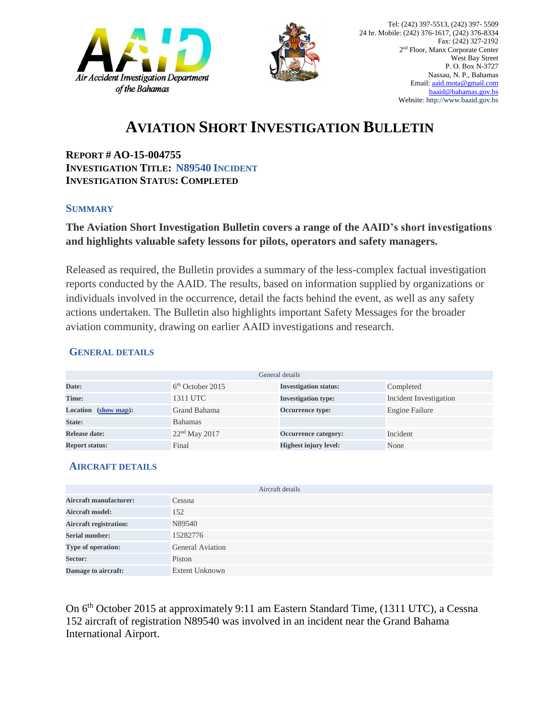



## **AVIATION SHORT INVESTIGATION BULLETIN**

**REPORT # AO-15-004755 INVESTIGATION TITLE: N89540 INCIDENT INVESTIGATION STATUS: COMPLETED**

#### **SUMMARY**

### **The Aviation Short Investigation Bulletin covers a range of the AAID's short investigations and highlights valuable safety lessons for pilots, operators and safety managers.**

Released as required, the Bulletin provides a summary of the less-complex factual investigation reports conducted by the AAID. The results, based on information supplied by organizations or individuals involved in the occurrence, detail the facts behind the event, as well as any safety actions undertaken. The Bulletin also highlights important Safety Messages for the broader aviation community, drawing on earlier AAID investigations and research.

#### **GENERAL DETAILS**

| General details       |                    |                              |                        |
|-----------------------|--------------------|------------------------------|------------------------|
| Date:                 | $6th$ October 2015 | <b>Investigation status:</b> | Completed              |
| Time:                 | 1311 UTC           | <b>Investigation type:</b>   | Incident Investigation |
| Location (show map):  | Grand Bahama       | <b>Occurrence type:</b>      | Engine Failure         |
| State:                | <b>Bahamas</b>     |                              |                        |
| Release date:         | $22nd$ May 2017    | Occurrence category:         | Incident               |
| <b>Report status:</b> | Final              | <b>Highest injury level:</b> | None                   |

#### **AIRCRAFT DETAILS**

| Aircraft details              |                         |  |  |
|-------------------------------|-------------------------|--|--|
| <b>Aircraft manufacturer:</b> | Cessna                  |  |  |
| <b>Aircraft model:</b>        | 152                     |  |  |
| <b>Aircraft registration:</b> | N89540                  |  |  |
| <b>Serial number:</b>         | 15282776                |  |  |
| Type of operation:            | <b>General Aviation</b> |  |  |
| Sector:                       | Piston                  |  |  |
| Damage to aircraft:           | <b>Extent Unknown</b>   |  |  |

On 6<sup>th</sup> October 2015 at approximately 9:11 am Eastern Standard Time, (1311 UTC), a Cessna 152 aircraft of registration N89540 was involved in an incident near the Grand Bahama International Airport.